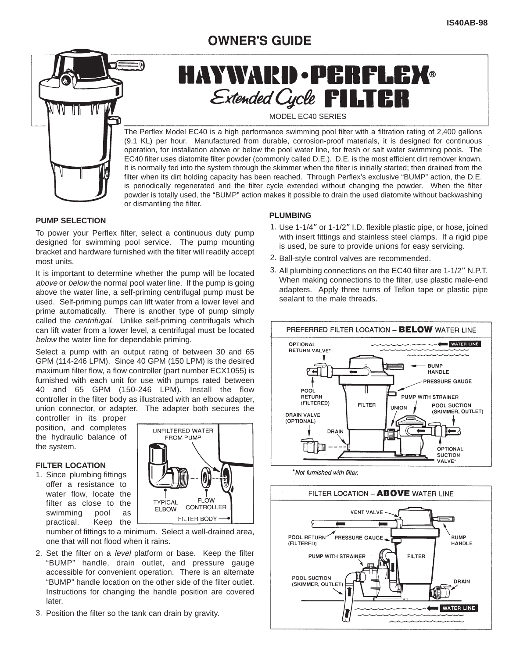### **OWNER'S GUIDE**



# **HAYWARD · PERFLEX®** Extended Cycle **FILTER**

MODEL EC40 SERIES

The Perflex Model EC40 is a high performance swimming pool filter with a filtration rating of 2,400 gallons (9.1 KL) per hour. Manufactured from durable, corrosion-proof materials, it is designed for continuous operation, for installation above or below the pool water line, for fresh or salt water swimming pools. The EC40 filter uses diatomite filter powder (commonly called D.E.). D.E. is the most efficient dirt remover known. It is normally fed into the system through the skimmer when the filter is initially started; then drained from the filter when its dirt holding capacity has been reached. Through Perflex's exclusive "BUMP" action, the D.E. is periodically regenerated and the filter cycle extended without changing the powder. When the filter powder is totally used, the "BUMP" action makes it possible to drain the used diatomite without backwashing or dismantling the filter.

#### **PUMP SELECTION**

To power your Perflex filter, select a continuous duty pump designed for swimming pool service. The pump mounting bracket and hardware furnished with the filter will readily accept most units.

It is important to determine whether the pump will be located above or below the normal pool water line. If the pump is going above the water line, a self-priming centrifugal pump must be used. Self-priming pumps can lift water from a lower level and prime automatically. There is another type of pump simply called the *centrifugal*. Unlike self-priming centrifugals which can lift water from a lower level, a centrifugal must be located below the water line for dependable priming.

Select a pump with an output rating of between 30 and 65 GPM (114-246 LPM). Since 40 GPM (150 LPM) is the desired maximum filter flow, a flow controller (part number ECX1055) is furnished with each unit for use with pumps rated between 40 and 65 GPM (150-246 LPM). Install the flow controller in the filter body as illustrated with an elbow adapter, union connector, or adapter. The adapter both secures the

controller in its proper position, and completes the hydraulic balance of the system.

#### **FILTER LOCATION**

1. Since plumbing fittings offer a resistance to water flow, locate the filter as close to the swimming pool as practical. Keep the



number of fittings to a minimum. Select a well-drained area, one that will not flood when it rains.

- 2. Set the filter on a level platform or base. Keep the filter "BUMP" handle, drain outlet, and pressure gauge accessible for convenient operation. There is an alternate "BUMP" handle location on the other side of the filter outlet. Instructions for changing the handle position are covered later.
- 3. Position the filter so the tank can drain by gravity.

#### **PLUMBING**

- 1. Use 1-1/4" or 1-1/2" I.D. flexible plastic pipe, or hose, joined with insert fittings and stainless steel clamps. If a rigid pipe is used, be sure to provide unions for easy servicing.
- 2. Ball-style control valves are recommended.
- 3. All plumbing connections on the EC40 filter are 1-1/2" N.P.T. When making connections to the filter, use plastic male-end adapters. Apply three turns of Teflon tape or plastic pipe sealant to the male threads.





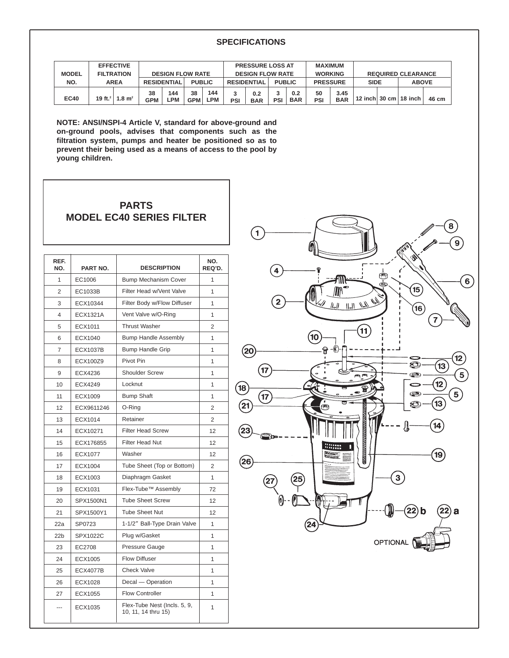#### **SPECIFICATIONS**

| <b>MODEL</b> | <b>EFFECTIVE</b><br><b>FILTRATION</b>    |  | <b>DESIGN FLOW RATE</b> |            |                  |            | <b>PRESSURE LOSS AT</b><br><b>DESIGN FLOW RATE</b> |                   |               |                   | <b>MAXIMUM</b><br><b>WORKING</b> |                    | <b>REQUIRED CLEARANCE</b> |  |                                 |       |
|--------------|------------------------------------------|--|-------------------------|------------|------------------|------------|----------------------------------------------------|-------------------|---------------|-------------------|----------------------------------|--------------------|---------------------------|--|---------------------------------|-------|
| NO.          | <b>AREA</b>                              |  | <b>RESIDENTIAL</b>      |            | <b>PUBLIC</b>    |            | <b>RESIDENTIAL</b>                                 |                   | <b>PUBLIC</b> |                   | <b>PRESSURE</b>                  |                    | <b>SIDE</b>               |  | <b>ABOVE</b>                    |       |
| <b>EC40</b>  | 19 ft. <sup>2</sup>   1.8 m <sup>2</sup> |  | 38<br><b>GPM</b>        | 144<br>.PM | 38<br><b>GPM</b> | 144<br>∟PM | 2<br>PSI                                           | 0.2<br><b>BAR</b> | PSI           | 0.2<br><b>BAR</b> | 50<br>PSI                        | 3.45<br><b>BAR</b> |                           |  | 12 inch $30 \text{ cm}$ 18 inch | 46 cm |

**NOTE: ANSI/NSPI-4 Article V, standard for above-ground and on-ground pools, advises that components such as the filtration system, pumps and heater be positioned so as to prevent their being used as a means of access to the pool by young children.**

#### **PARTS MODEL EC40 SERIES FILTER**

| REF.<br>NO.     | PART NO.        | <b>DESCRIPTION</b>                                  | NO.<br>REQ'D.  |
|-----------------|-----------------|-----------------------------------------------------|----------------|
| 1               | EC1006          | <b>Bump Mechanism Cover</b>                         | 1              |
| 2               | EC1033B         | Filter Head w/Vent Valve                            | 1              |
| 3               | ECX10344        | Filter Body w/Flow Diffuser                         | $\mathbf{1}$   |
| 4               | <b>ECX1321A</b> | Vent Valve w/O-Ring                                 | 1              |
| 5               | ECX1011         | <b>Thrust Washer</b>                                | $\overline{2}$ |
| 6               | ECX1040         | <b>Bump Handle Assembly</b>                         | 1              |
| 7               | <b>ECX1037B</b> | <b>Bump Handle Grip</b>                             | 1              |
| 8               | ECX100Z9        | Pivot Pin                                           | $\overline{1}$ |
| 9               | ECX4236         | <b>Shoulder Screw</b>                               | 1              |
| 10              | <b>ECX4249</b>  | Locknut                                             | 1              |
| 11              | ECX1009         | <b>Bump Shaft</b>                                   | 1              |
| 12              | ECX9611246      | O-Ring                                              | 2              |
| 13              | ECX1014         | Retainer                                            | $\overline{2}$ |
| 14              | ECX10271        | <b>Filter Head Screw</b>                            | 12             |
| 15              | ECX176855       | <b>Filter Head Nut</b>                              | 12             |
| 16              | <b>ECX1077</b>  | Washer                                              | 12             |
| 17              | <b>ECX1004</b>  | Tube Sheet (Top or Bottom)                          | $\overline{2}$ |
| 18              | ECX1003         | Diaphragm Gasket                                    | 1              |
| 19              | ECX1031         | Flex-Tube <sup>™</sup> Assembly                     | 72             |
| 20              | SPX1500N1       | <b>Tube Sheet Screw</b>                             | 12             |
| 21              | SPX1500Y1       | <b>Tube Sheet Nut</b>                               | 12             |
| 22a             | SP0723          | 1-1/2" Ball-Type Drain Valve                        | 1              |
| 22 <sub>b</sub> | <b>SPX1022C</b> | Plug w/Gasket                                       | 1              |
| 23              | EC2708          | Pressure Gauge                                      | $\overline{1}$ |
| 24              | ECX1005         | <b>Flow Diffuser</b>                                | 1              |
| 25              | <b>ECX4077B</b> | <b>Check Valve</b>                                  | 1              |
| 26              | <b>ECX1028</b>  | Decal - Operation                                   | $\mathbf{1}$   |
| 27              | ECX1055         | <b>Flow Controller</b>                              | 1              |
| ---             | ECX1035         | Flex-Tube Nest (Incls. 5, 9,<br>10, 11, 14 thru 15) | 1              |

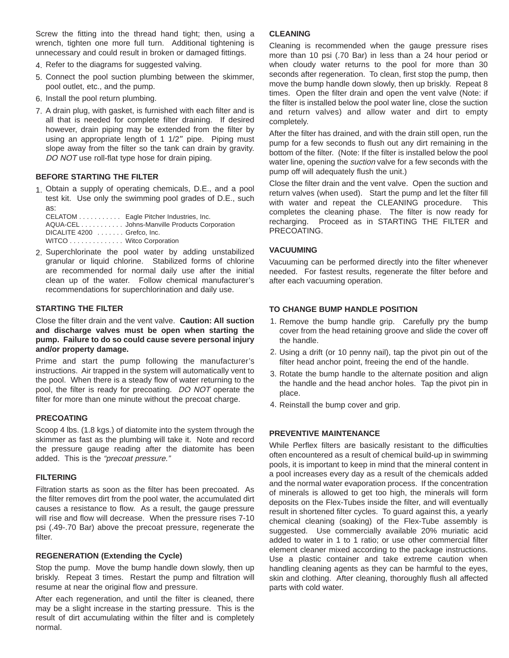Screw the fitting into the thread hand tight; then, using a wrench, tighten one more full turn. Additional tightening is unnecessary and could result in broken or damaged fittings.

- 4. Refer to the diagrams for suggested valving.
- 5. Connect the pool suction plumbing between the skimmer, pool outlet, etc., and the pump.
- 6. Install the pool return plumbing.
- 7. A drain plug, with gasket, is furnished with each filter and is all that is needed for complete filter draining. If desired however, drain piping may be extended from the filter by using an appropriate length of 1 1/2" pipe. Piping must slope away from the filter so the tank can drain by gravity. DO NOT use roll-flat type hose for drain piping.

#### **BEFORE STARTING THE FILTER**

Obtain a supply of operating chemicals, D.E., and a pool 1. test kit. Use only the swimming pool grades of D.E., such as:

CELATOM . . . . . . . . . . . Eagle Pitcher Industries, Inc. AQUA-CEL . . . . . . . . . . . Johns-Manville Products Corporation DICALITE 4200 . . . . . . . Grefco, Inc. WITCO . . . . . . . . . . . . . . Witco Corporation

2. Superchlorinate the pool water by adding unstabilized granular or liquid chlorine. Stabilized forms of chlorine are recommended for normal daily use after the initial clean up of the water. Follow chemical manufacturer's recommendations for superchlorination and daily use.

#### **STARTING THE FILTER**

Close the filter drain and the vent valve. **Caution: All suction and discharge valves must be open when starting the pump. Failure to do so could cause severe personal injury and/or property damage.**

Prime and start the pump following the manufacturer's instructions. Air trapped in the system will automatically vent to the pool. When there is a steady flow of water returning to the pool, the filter is ready for precoating. DO NOT operate the filter for more than one minute without the precoat charge.

#### **PRECOATING**

Scoop 4 lbs. (1.8 kgs.) of diatomite into the system through the skimmer as fast as the plumbing will take it. Note and record the pressure gauge reading after the diatomite has been added. This is the "precoat pressure."

#### **FILTERING**

Filtration starts as soon as the filter has been precoated. As the filter removes dirt from the pool water, the accumulated dirt causes a resistance to flow. As a result, the gauge pressure will rise and flow will decrease. When the pressure rises 7-10 psi (.49-.70 Bar) above the precoat pressure, regenerate the filter.

#### **REGENERATION (Extending the Cycle)**

Stop the pump. Move the bump handle down slowly, then up briskly. Repeat 3 times. Restart the pump and filtration will resume at near the original flow and pressure.

After each regeneration, and until the filter is cleaned, there may be a slight increase in the starting pressure. This is the result of dirt accumulating within the filter and is completely normal.

#### **CLEANING**

Cleaning is recommended when the gauge pressure rises more than 10 psi (.70 Bar) in less than a 24 hour period or when cloudy water returns to the pool for more than 30 seconds after regeneration. To clean, first stop the pump, then move the bump handle down slowly, then up briskly. Repeat 8 times. Open the filter drain and open the vent valve (Note: if the filter is installed below the pool water line, close the suction and return valves) and allow water and dirt to empty completely.

After the filter has drained, and with the drain still open, run the pump for a few seconds to flush out any dirt remaining in the bottom of the filter. (Note: If the filter is installed below the pool water line, opening the *suction* valve for a few seconds with the pump off will adequately flush the unit.)

Close the filter drain and the vent valve. Open the suction and return valves (when used). Start the pump and let the filter fill with water and repeat the CLEANING procedure. This completes the cleaning phase. The filter is now ready for recharging. Proceed as in STARTING THE FILTER and PRECOATING.

#### **VACUUMING**

Vacuuming can be performed directly into the filter whenever needed. For fastest results, regenerate the filter before and after each vacuuming operation.

#### **TO CHANGE BUMP HANDLE POSITION**

- 1. Remove the bump handle grip. Carefully pry the bump cover from the head retaining groove and slide the cover off the handle.
- 2. Using a drift (or 10 penny nail), tap the pivot pin out of the filter head anchor point, freeing the end of the handle.
- 3. Rotate the bump handle to the alternate position and align the handle and the head anchor holes. Tap the pivot pin in place.
- 4. Reinstall the bump cover and grip.

#### **PREVENTIVE MAINTENANCE**

While Perflex filters are basically resistant to the difficulties often encountered as a result of chemical build-up in swimming pools, it is important to keep in mind that the mineral content in a pool increases every day as a result of the chemicals added and the normal water evaporation process. If the concentration of minerals is allowed to get too high, the minerals will form deposits on the Flex-Tubes inside the filter, and will eventually result in shortened filter cycles. To guard against this, a yearly chemical cleaning (soaking) of the Flex-Tube assembly is suggested. Use commercially available 20% muriatic acid added to water in 1 to 1 ratio; or use other commercial filter element cleaner mixed according to the package instructions. Use a plastic container and take extreme caution when handling cleaning agents as they can be harmful to the eyes, skin and clothing. After cleaning, thoroughly flush all affected parts with cold water.